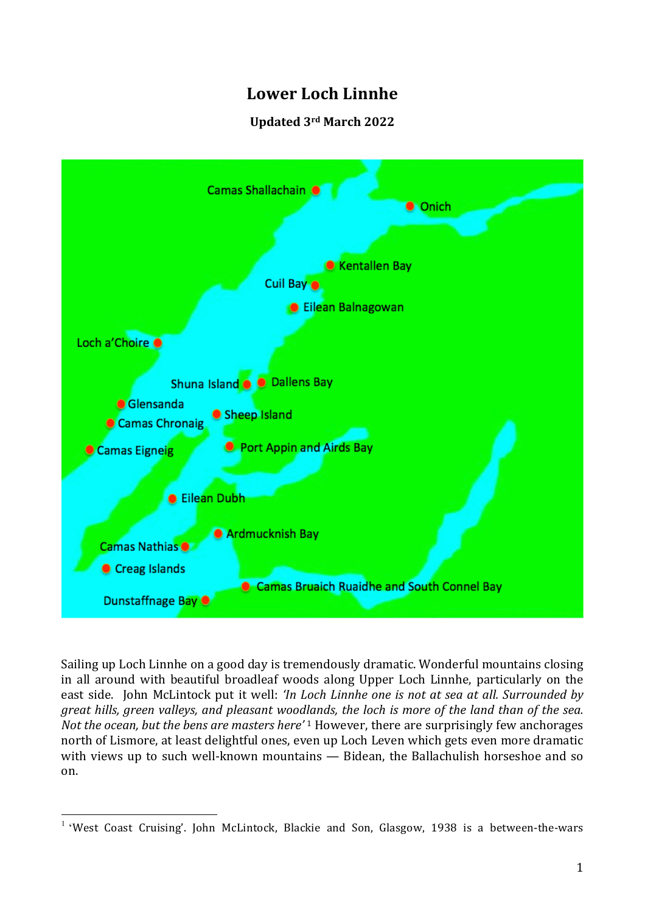# **Lower Loch Linnhe**

## **Updated 3rd March 2022**



Sailing up Loch Linnhe on a good day is tremendously dramatic. Wonderful mountains closing in all around with beautiful broadleaf woods along Upper Loch Linnhe, particularly on the east side. John McLintock put it well: *'In Loch Linnhe one is not at sea at all. Surrounded by great hills, green valleys, and pleasant woodlands, the loch is more of the land than of the sea. Not the ocean, but the bens are masters here'* <sup>1</sup> However, there are surprisingly few anchorages north of Lismore, at least delightful ones, even up Loch Leven which gets even more dramatic with views up to such well-known mountains — Bidean, the Ballachulish horseshoe and so on.

 $1$  'West Coast Cruising'. John McLintock, Blackie and Son, Glasgow, 1938 is a between-the-wars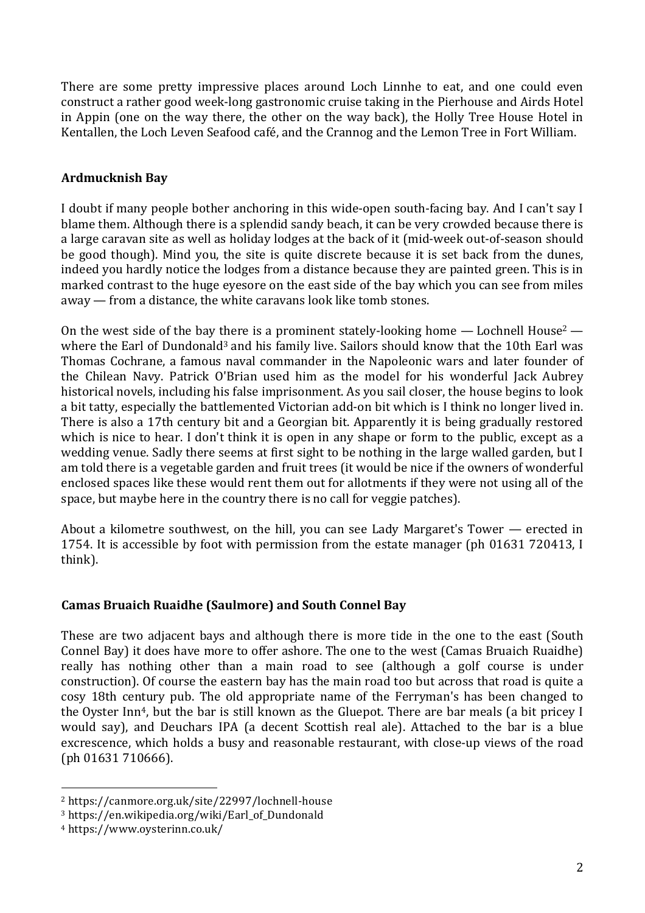There are some pretty impressive places around Loch Linnhe to eat, and one could even construct a rather good week-long gastronomic cruise taking in the Pierhouse and Airds Hotel in Appin (one on the way there, the other on the way back), the Holly Tree House Hotel in Kentallen, the Loch Leven Seafood café, and the Crannog and the Lemon Tree in Fort William.

#### **Ardmucknish Bay**

I doubt if many people bother anchoring in this wide-open south-facing bay. And I can't say I blame them. Although there is a splendid sandy beach, it can be very crowded because there is a large caravan site as well as holiday lodges at the back of it (mid-week out-of-season should be good though). Mind you, the site is quite discrete because it is set back from the dunes, indeed you hardly notice the lodges from a distance because they are painted green. This is in marked contrast to the huge eyesore on the east side of the bay which you can see from miles away — from a distance, the white caravans look like tomb stones.

On the west side of the bay there is a prominent stately-looking home  $-$  Lochnell House<sup>2</sup>  $$ where the Earl of Dundonald<sup>3</sup> and his family live. Sailors should know that the 10th Earl was Thomas Cochrane, a famous naval commander in the Napoleonic wars and later founder of the Chilean Navy. Patrick O'Brian used him as the model for his wonderful Jack Aubrey historical novels, including his false imprisonment. As you sail closer, the house begins to look a bit tatty, especially the battlemented Victorian add-on bit which is I think no longer lived in. There is also a 17th century bit and a Georgian bit. Apparently it is being gradually restored which is nice to hear. I don't think it is open in any shape or form to the public, except as a wedding venue. Sadly there seems at first sight to be nothing in the large walled garden, but I am told there is a vegetable garden and fruit trees (it would be nice if the owners of wonderful enclosed spaces like these would rent them out for allotments if they were not using all of the space, but maybe here in the country there is no call for veggie patches).

About a kilometre southwest, on the hill, you can see Lady Margaret's Tower — erected in 1754. It is accessible by foot with permission from the estate manager (ph 01631 720413, I think).

#### **Camas Bruaich Ruaidhe (Saulmore) and South Connel Bay**

These are two adjacent bays and although there is more tide in the one to the east (South Connel Bay) it does have more to offer ashore. The one to the west (Camas Bruaich Ruaidhe) really has nothing other than a main road to see (although a golf course is under construction). Of course the eastern bay has the main road too but across that road is quite a cosy 18th century pub. The old appropriate name of the Ferryman's has been changed to the Oyster Inn<sup>4</sup>, but the bar is still known as the Gluepot. There are bar meals (a bit pricey I would say), and Deuchars IPA (a decent Scottish real ale). Attached to the bar is a blue excrescence, which holds a busy and reasonable restaurant, with close-up views of the road (ph 01631 710666).

<sup>2</sup> https://canmore.org.uk/site/22997/lochnell-house

<sup>3</sup> https://en.wikipedia.org/wiki/Earl\_of\_Dundonald

<sup>4</sup> https://www.oysterinn.co.uk/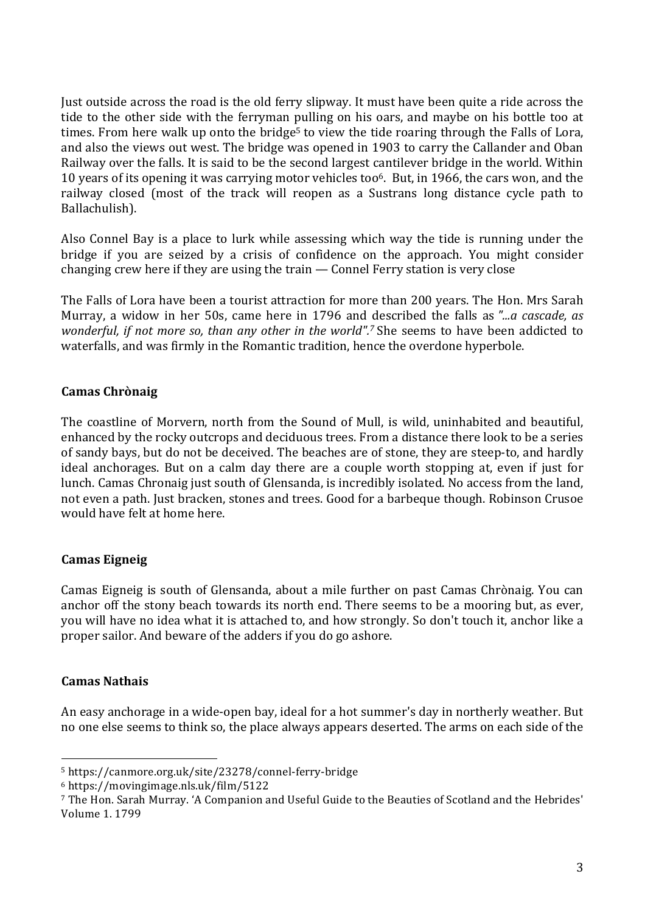Just outside across the road is the old ferry slipway. It must have been quite a ride across the tide to the other side with the ferryman pulling on his oars, and maybe on his bottle too at times. From here walk up onto the bridge<sup>5</sup> to view the tide roaring through the Falls of Lora, and also the views out west. The bridge was opened in 1903 to carry the Callander and Oban Railway over the falls. It is said to be the second largest cantilever bridge in the world. Within 10 years of its opening it was carrying motor vehicles too6. But, in 1966, the cars won, and the railway closed (most of the track will reopen as a Sustrans long distance cycle path to Ballachulish).

Also Connel Bay is a place to lurk while assessing which way the tide is running under the bridge if you are seized by a crisis of confidence on the approach. You might consider changing crew here if they are using the train — Connel Ferry station is very close

The Falls of Lora have been a tourist attraction for more than 200 years. The Hon. Mrs Sarah Murray, a widow in her 50s, came here in 1796 and described the falls as *"...a cascade, as wonderful, if not more so, than any other in the world".7* She seems to have been addicted to waterfalls, and was firmly in the Romantic tradition, hence the overdone hyperbole.

## **Camas Chrònaig**

The coastline of Morvern, north from the Sound of Mull, is wild, uninhabited and beautiful, enhanced by the rocky outcrops and deciduous trees. From a distance there look to be a series of sandy bays, but do not be deceived. The beaches are of stone, they are steep-to, and hardly ideal anchorages. But on a calm day there are a couple worth stopping at, even if just for lunch. Camas Chronaig just south of Glensanda, is incredibly isolated. No access from the land, not even a path. Just bracken, stones and trees. Good for a barbeque though. Robinson Crusoe would have felt at home here.

## **Camas Eigneig**

Camas Eigneig is south of Glensanda, about a mile further on past Camas Chrònaig. You can anchor off the stony beach towards its north end. There seems to be a mooring but, as ever, you will have no idea what it is attached to, and how strongly. So don't touch it, anchor like a proper sailor. And beware of the adders if you do go ashore.

#### **Camas Nathais**

An easy anchorage in a wide-open bay, ideal for a hot summer's day in northerly weather. But no one else seems to think so, the place always appears deserted. The arms on each side of the

<sup>5</sup> https://canmore.org.uk/site/23278/connel-ferry-bridge

<sup>6</sup> https://movingimage.nls.uk/film/5122

<sup>&</sup>lt;sup>7</sup> The Hon. Sarah Murray. 'A Companion and Useful Guide to the Beauties of Scotland and the Hebrides' Volume 1. 1799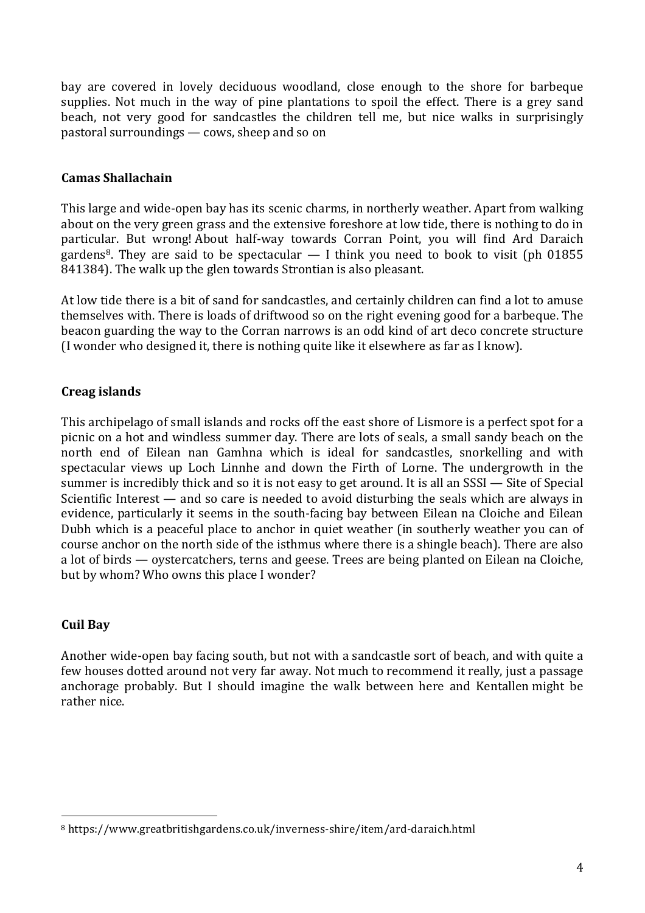bay are covered in lovely deciduous woodland, close enough to the shore for barbeque supplies. Not much in the way of pine plantations to spoil the effect. There is a grey sand beach, not very good for sandcastles the children tell me, but nice walks in surprisingly pastoral surroundings — cows, sheep and so on

#### **Camas Shallachain**

This large and wide-open bay has its scenic charms, in northerly weather. Apart from walking about on the very green grass and the extensive foreshore at low tide, there is nothing to do in particular. But wrong! About half-way towards Corran Point, you will find Ard Daraich gardens<sup>8</sup>. They are said to be spectacular  $-1$  think you need to book to visit (ph 01855) 841384). The walk up the glen towards Strontian is also pleasant.

At low tide there is a bit of sand for sandcastles, and certainly children can find a lot to amuse themselves with. There is loads of driftwood so on the right evening good for a barbeque. The beacon guarding the way to the Corran narrows is an odd kind of art deco concrete structure (I wonder who designed it, there is nothing quite like it elsewhere as far as I know).

## **Creag islands**

This archipelago of small islands and rocks off the east shore of Lismore is a perfect spot for a picnic on a hot and windless summer day. There are lots of seals, a small sandy beach on the north end of Eilean nan Gamhna which is ideal for sandcastles, snorkelling and with spectacular views up Loch Linnhe and down the Firth of Lorne. The undergrowth in the summer is incredibly thick and so it is not easy to get around. It is all an SSSI — Site of Special Scientific Interest — and so care is needed to avoid disturbing the seals which are always in evidence, particularly it seems in the south-facing bay between Eilean na Cloiche and Eilean Dubh which is a peaceful place to anchor in quiet weather (in southerly weather you can of course anchor on the north side of the isthmus where there is a shingle beach). There are also a lot of birds — oystercatchers, terns and geese. Trees are being planted on Eilean na Cloiche, but by whom? Who owns this place I wonder?

## **Cuil Bay**

 

Another wide-open bay facing south, but not with a sandcastle sort of beach, and with quite a few houses dotted around not very far away. Not much to recommend it really, just a passage anchorage probably. But I should imagine the walk between here and Kentallen might be rather nice.

<sup>8</sup> https://www.greatbritishgardens.co.uk/inverness-shire/item/ard-daraich.html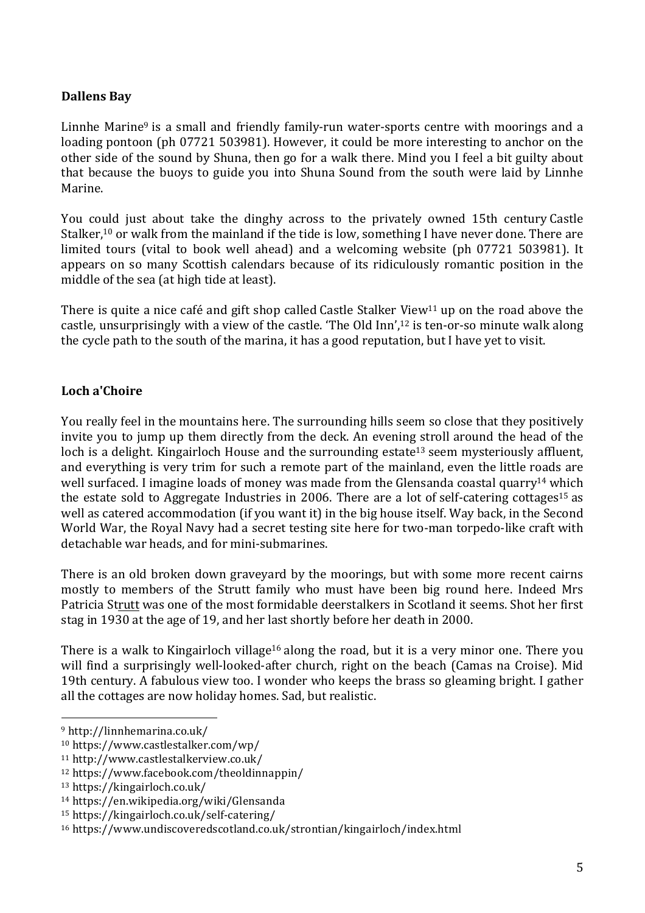## **Dallens Bay**

Linnhe Marine<sup>9</sup> is a small and friendly family-run water-sports centre with moorings and a loading pontoon (ph 07721 503981). However, it could be more interesting to anchor on the other side of the sound by Shuna, then go for a walk there. Mind you I feel a bit guilty about that because the buoys to guide you into Shuna Sound from the south were laid by Linnhe Marine.

You could just about take the dinghy across to the privately owned 15th century Castle Stalker,<sup>10</sup> or walk from the mainland if the tide is low, something I have never done. There are limited tours (vital to book well ahead) and a welcoming website (ph 07721 503981). It appears on so many Scottish calendars because of its ridiculously romantic position in the middle of the sea (at high tide at least).

There is quite a nice café and gift shop called Castle Stalker View<sup>11</sup> up on the road above the castle, unsurprisingly with a view of the castle. 'The Old Inn',12 is ten-or-so minute walk along the cycle path to the south of the marina, it has a good reputation, but I have yet to visit.

## **Loch a'Choire**

You really feel in the mountains here. The surrounding hills seem so close that they positively invite you to jump up them directly from the deck. An evening stroll around the head of the loch is a delight. Kingairloch House and the surrounding estate<sup>13</sup> seem mysteriously affluent, and everything is very trim for such a remote part of the mainland, even the little roads are well surfaced. I imagine loads of money was made from the Glensanda coastal quarry<sup>14</sup> which the estate sold to Aggregate Industries in 2006. There are a lot of self-catering cottages<sup>15</sup> as well as catered accommodation (if you want it) in the big house itself. Way back, in the Second World War, the Royal Navy had a secret testing site here for two-man torpedo-like craft with detachable war heads, and for mini-submarines.

There is an old broken down graveyard by the moorings, but with some more recent cairns mostly to members of the Strutt family who must have been big round here. Indeed Mrs Patricia Strutt was one of the most formidable deerstalkers in Scotland it seems. Shot her first stag in 1930 at the age of 19, and her last shortly before her death in 2000.

There is a walk to Kingairloch village<sup>16</sup> along the road, but it is a very minor one. There you will find a surprisingly well-looked-after church, right on the beach (Camas na Croise). Mid 19th century. A fabulous view too. I wonder who keeps the brass so gleaming bright. I gather all the cottages are now holiday homes. Sad, but realistic.

 <sup>9</sup> http://linnhemarina.co.uk/

<sup>10</sup> https://www.castlestalker.com/wp/

<sup>11</sup> http://www.castlestalkerview.co.uk/

<sup>12</sup> https://www.facebook.com/theoldinnappin/

<sup>13</sup> https://kingairloch.co.uk/

<sup>14</sup> https://en.wikipedia.org/wiki/Glensanda

<sup>15</sup> https://kingairloch.co.uk/self-catering/

<sup>16</sup> https://www.undiscoveredscotland.co.uk/strontian/kingairloch/index.html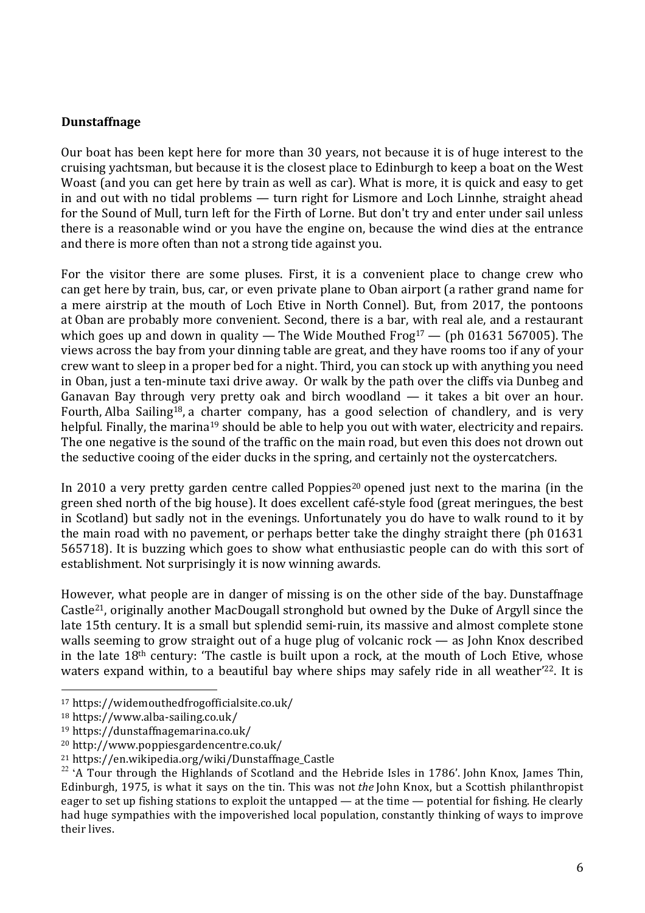#### **Dunstaffnage**

Our boat has been kept here for more than 30 years, not because it is of huge interest to the cruising yachtsman, but because it is the closest place to Edinburgh to keep a boat on the West Woast (and you can get here by train as well as car). What is more, it is quick and easy to get in and out with no tidal problems — turn right for Lismore and Loch Linnhe, straight ahead for the Sound of Mull, turn left for the Firth of Lorne. But don't try and enter under sail unless there is a reasonable wind or you have the engine on, because the wind dies at the entrance and there is more often than not a strong tide against you.

For the visitor there are some pluses. First, it is a convenient place to change crew who can get here by train, bus, car, or even private plane to Oban airport (a rather grand name for a mere airstrip at the mouth of Loch Etive in North Connel). But, from 2017, the pontoons at Oban are probably more convenient. Second, there is a bar, with real ale, and a restaurant which goes up and down in quality — The Wide Mouthed Frog<sup>17</sup> — (ph 01631 567005). The views across the bay from your dinning table are great, and they have rooms too if any of your crew want to sleep in a proper bed for a night. Third, you can stock up with anything you need in Oban, just a ten-minute taxi drive away. Or walk by the path over the cliffs via Dunbeg and Ganavan Bay through very pretty oak and birch woodland — it takes a bit over an hour. Fourth, Alba Sailing18, a charter company, has a good selection of chandlery, and is very helpful. Finally, the marina<sup>19</sup> should be able to help you out with water, electricity and repairs. The one negative is the sound of the traffic on the main road, but even this does not drown out the seductive cooing of the eider ducks in the spring, and certainly not the oystercatchers.

In 2010 a very pretty garden centre called Poppies<sup>20</sup> opened just next to the marina (in the green shed north of the big house). It does excellent café-style food (great meringues, the best in Scotland) but sadly not in the evenings. Unfortunately you do have to walk round to it by the main road with no pavement, or perhaps better take the dinghy straight there (ph 01631 565718). It is buzzing which goes to show what enthusiastic people can do with this sort of establishment. Not surprisingly it is now winning awards.

However, what people are in danger of missing is on the other side of the bay. Dunstaffnage Castle21, originally another MacDougall stronghold but owned by the Duke of Argyll since the late 15th century. It is a small but splendid semi-ruin, its massive and almost complete stone walls seeming to grow straight out of a huge plug of volcanic rock — as John Knox described in the late 18th century: 'The castle is built upon a rock, at the mouth of Loch Etive, whose waters expand within, to a beautiful bay where ships may safely ride in all weather'<sup>22</sup>. It is

<sup>17</sup> https://widemouthedfrogofficialsite.co.uk/

<sup>18</sup> https://www.alba-sailing.co.uk/

<sup>19</sup> https://dunstaffnagemarina.co.uk/

<sup>20</sup> http://www.poppiesgardencentre.co.uk/

<sup>21</sup> https://en.wikipedia.org/wiki/Dunstaffnage\_Castle

 $22$  'A Tour through the Highlands of Scotland and the Hebride Isles in 1786'. John Knox, James Thin, Edinburgh, 1975, is what it says on the tin. This was not *the* John Knox, but a Scottish philanthropist eager to set up fishing stations to exploit the untapped — at the time — potential for fishing. He clearly had huge sympathies with the impoverished local population, constantly thinking of ways to improve their lives.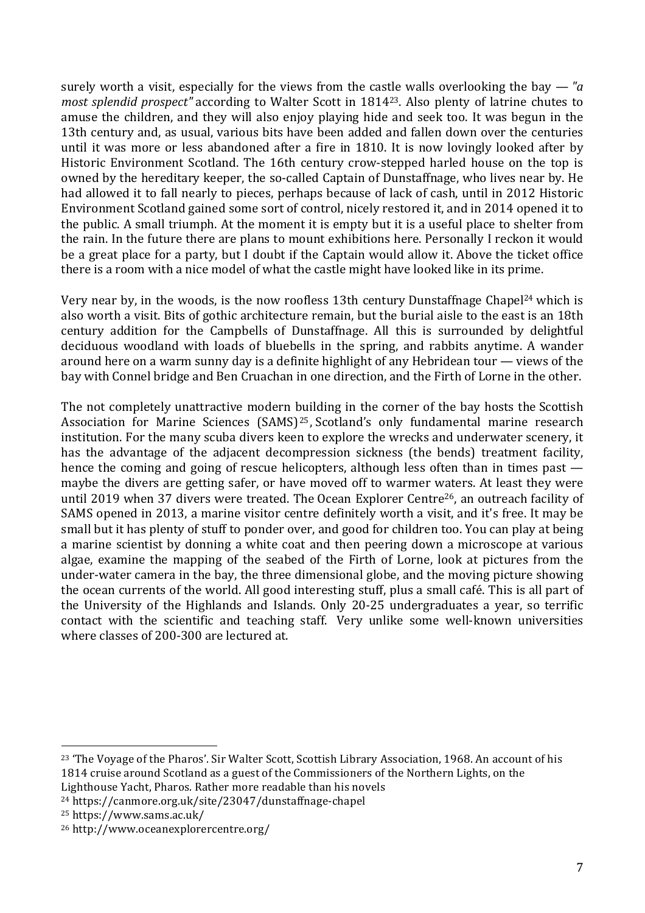surely worth a visit, especially for the views from the castle walls overlooking the bay — *"a most splendid prospect"* according to Walter Scott in 181423. Also plenty of latrine chutes to amuse the children, and they will also enjoy playing hide and seek too. It was begun in the 13th century and, as usual, various bits have been added and fallen down over the centuries until it was more or less abandoned after a fire in 1810. It is now lovingly looked after by Historic Environment Scotland. The 16th century crow-stepped harled house on the top is owned by the hereditary keeper, the so-called Captain of Dunstaffnage, who lives near by. He had allowed it to fall nearly to pieces, perhaps because of lack of cash, until in 2012 Historic Environment Scotland gained some sort of control, nicely restored it, and in 2014 opened it to the public. A small triumph. At the moment it is empty but it is a useful place to shelter from the rain. In the future there are plans to mount exhibitions here. Personally I reckon it would be a great place for a party, but I doubt if the Captain would allow it. Above the ticket office there is a room with a nice model of what the castle might have looked like in its prime.

Very near by, in the woods, is the now roofless 13th century Dunstaffnage Chapel24 which is also worth a visit. Bits of gothic architecture remain, but the burial aisle to the east is an 18th century addition for the Campbells of Dunstaffnage. All this is surrounded by delightful deciduous woodland with loads of bluebells in the spring, and rabbits anytime. A wander around here on a warm sunny day is a definite highlight of any Hebridean tour — views of the bay with Connel bridge and Ben Cruachan in one direction, and the Firth of Lorne in the other.

The not completely unattractive modern building in the corner of the bay hosts the Scottish Association for Marine Sciences (SAMS)<sup>25</sup>, Scotland's only fundamental marine research institution. For the many scuba divers keen to explore the wrecks and underwater scenery, it has the advantage of the adjacent decompression sickness (the bends) treatment facility, hence the coming and going of rescue helicopters, although less often than in times past maybe the divers are getting safer, or have moved off to warmer waters. At least they were until 2019 when 37 divers were treated. The Ocean Explorer Centre<sup>26</sup>, an outreach facility of SAMS opened in 2013, a marine visitor centre definitely worth a visit, and it's free. It may be small but it has plenty of stuff to ponder over, and good for children too. You can play at being a marine scientist by donning a white coat and then peering down a microscope at various algae, examine the mapping of the seabed of the Firth of Lorne, look at pictures from the under-water camera in the bay, the three dimensional globe, and the moving picture showing the ocean currents of the world. All good interesting stuff, plus a small café. This is all part of the University of the Highlands and Islands. Only 20-25 undergraduates a year, so terrific contact with the scientific and teaching staff. Very unlike some well-known universities where classes of 200-300 are lectured at.

<sup>23</sup> 'The Voyage of the Pharos'. Sir Walter Scott, Scottish Library Association, 1968. An account of his 1814 cruise around Scotland as a guest of the Commissioners of the Northern Lights, on the Lighthouse Yacht, Pharos. Rather more readable than his novels

<sup>24</sup> https://canmore.org.uk/site/23047/dunstaffnage-chapel

<sup>25</sup> https://www.sams.ac.uk/

<sup>26</sup> http://www.oceanexplorercentre.org/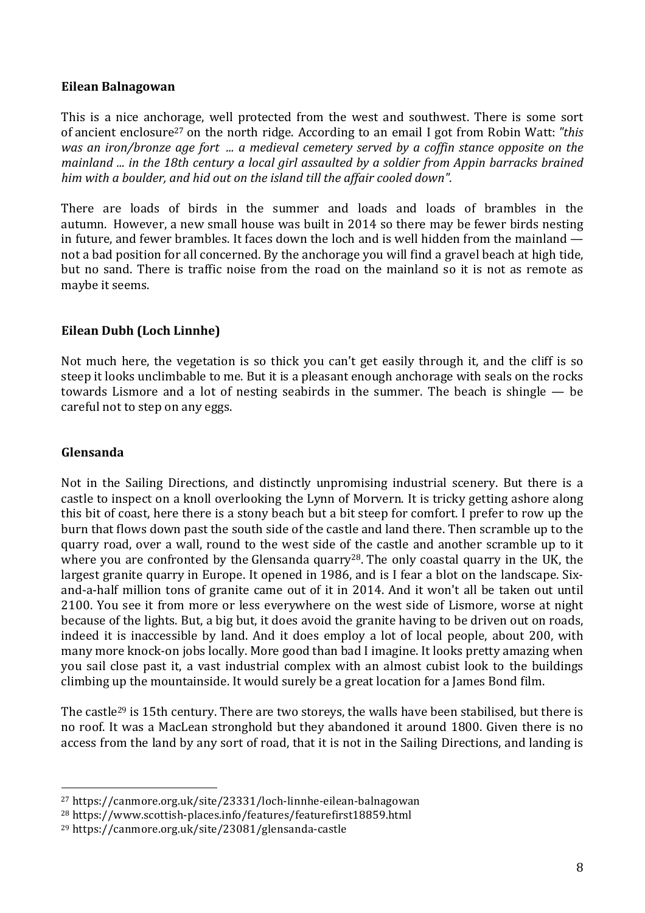#### **Eilean Balnagowan**

This is a nice anchorage, well protected from the west and southwest. There is some sort of ancient enclosure27 on the north ridge. According to an email I got from Robin Watt: *"this was an iron/bronze age fort ... a medieval cemetery served by a coffin stance opposite on the mainland ... in the 18th century a local girl assaulted by a soldier from Appin barracks brained him with a boulder, and hid out on the island till the affair cooled down".*

There are loads of birds in the summer and loads and loads of brambles in the autumn. However, a new small house was built in 2014 so there may be fewer birds nesting in future, and fewer brambles. It faces down the loch and is well hidden from the mainland not a bad position for all concerned. By the anchorage you will find a gravel beach at high tide, but no sand. There is traffic noise from the road on the mainland so it is not as remote as maybe it seems.

## **Eilean Dubh (Loch Linnhe)**

Not much here, the vegetation is so thick you can't get easily through it, and the cliff is so steep it looks unclimbable to me. But it is a pleasant enough anchorage with seals on the rocks towards Lismore and a lot of nesting seabirds in the summer. The beach is shingle — be careful not to step on any eggs.

## **Glensanda**

Not in the Sailing Directions, and distinctly unpromising industrial scenery. But there is a castle to inspect on a knoll overlooking the Lynn of Morvern. It is tricky getting ashore along this bit of coast, here there is a stony beach but a bit steep for comfort. I prefer to row up the burn that flows down past the south side of the castle and land there. Then scramble up to the quarry road, over a wall, round to the west side of the castle and another scramble up to it where you are confronted by the Glensanda quarry<sup>28</sup>. The only coastal quarry in the UK, the largest granite quarry in Europe. It opened in 1986, and is I fear a blot on the landscape. Sixand-a-half million tons of granite came out of it in 2014. And it won't all be taken out until 2100. You see it from more or less everywhere on the west side of Lismore, worse at night because of the lights. But, a big but, it does avoid the granite having to be driven out on roads, indeed it is inaccessible by land. And it does employ a lot of local people, about 200, with many more knock-on jobs locally. More good than bad I imagine. It looks pretty amazing when you sail close past it, a vast industrial complex with an almost cubist look to the buildings climbing up the mountainside. It would surely be a great location for a James Bond film.

The castle<sup>29</sup> is 15th century. There are two storeys, the walls have been stabilised, but there is no roof. It was a MacLean stronghold but they abandoned it around 1800. Given there is no access from the land by any sort of road, that it is not in the Sailing Directions, and landing is

<sup>27</sup> https://canmore.org.uk/site/23331/loch-linnhe-eilean-balnagowan

<sup>28</sup> https://www.scottish-places.info/features/featurefirst18859.html

<sup>29</sup> https://canmore.org.uk/site/23081/glensanda-castle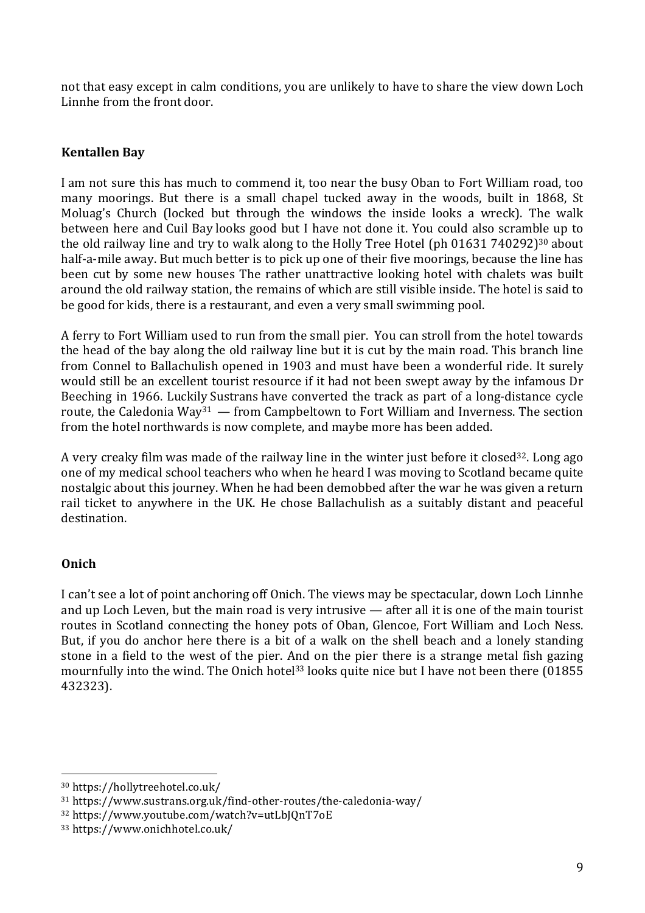not that easy except in calm conditions, you are unlikely to have to share the view down Loch Linnhe from the front door.

## **Kentallen Bay**

I am not sure this has much to commend it, too near the busy Oban to Fort William road, too many moorings. But there is a small chapel tucked away in the woods, built in 1868, St Moluag's Church (locked but through the windows the inside looks a wreck). The walk between here and Cuil Bay looks good but I have not done it. You could also scramble up to the old railway line and try to walk along to the Holly Tree Hotel (ph 01631 740292)<sup>30</sup> about half-a-mile away. But much better is to pick up one of their five moorings, because the line has been cut by some new houses The rather unattractive looking hotel with chalets was built around the old railway station, the remains of which are still visible inside. The hotel is said to be good for kids, there is a restaurant, and even a very small swimming pool.

A ferry to Fort William used to run from the small pier. You can stroll from the hotel towards the head of the bay along the old railway line but it is cut by the main road. This branch line from Connel to Ballachulish opened in 1903 and must have been a wonderful ride. It surely would still be an excellent tourist resource if it had not been swept away by the infamous Dr Beeching in 1966. Luckily Sustrans have converted the track as part of a long-distance cycle route, the Caledonia Way<sup>31</sup> — from Campbeltown to Fort William and Inverness. The section from the hotel northwards is now complete, and maybe more has been added.

A very creaky film was made of the railway line in the winter just before it closed<sup>32</sup>. Long ago one of my medical school teachers who when he heard I was moving to Scotland became quite nostalgic about this journey. When he had been demobbed after the war he was given a return rail ticket to anywhere in the UK. He chose Ballachulish as a suitably distant and peaceful destination.

#### **Onich**

I can't see a lot of point anchoring off Onich. The views may be spectacular, down Loch Linnhe and up Loch Leven, but the main road is very intrusive — after all it is one of the main tourist routes in Scotland connecting the honey pots of Oban, Glencoe, Fort William and Loch Ness. But, if you do anchor here there is a bit of a walk on the shell beach and a lonely standing stone in a field to the west of the pier. And on the pier there is a strange metal fish gazing mournfully into the wind. The Onich hotel<sup>33</sup> looks quite nice but I have not been there (01855 432323).

 <sup>30</sup> https://hollytreehotel.co.uk/

<sup>31</sup> https://www.sustrans.org.uk/find-other-routes/the-caledonia-way/

<sup>32</sup> https://www.youtube.com/watch?v=utLbJQnT7oE

<sup>33</sup> https://www.onichhotel.co.uk/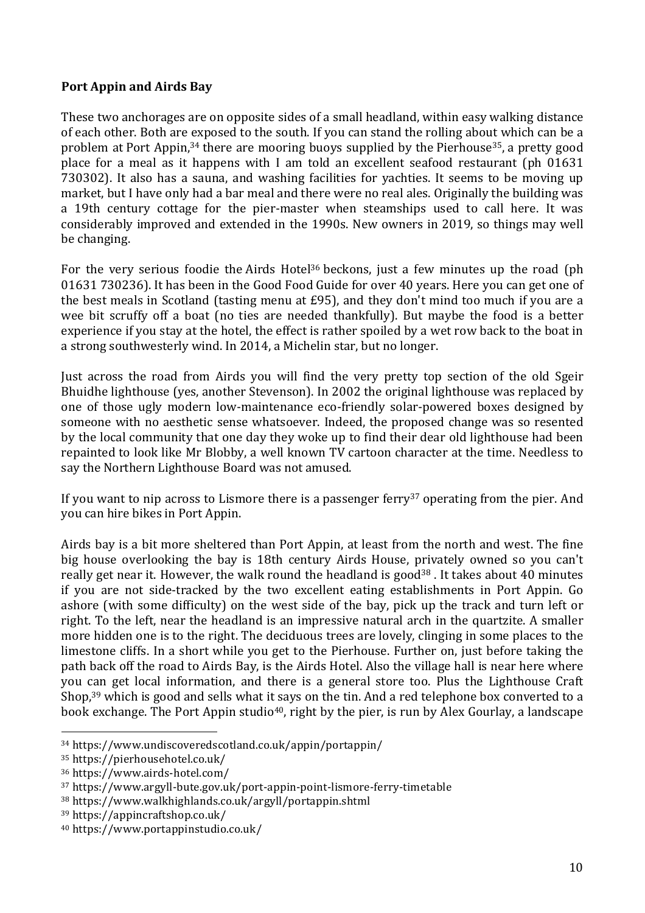#### **Port Appin and Airds Bay**

These two anchorages are on opposite sides of a small headland, within easy walking distance of each other. Both are exposed to the south. If you can stand the rolling about which can be a problem at Port Appin,<sup>34</sup> there are mooring buoys supplied by the Pierhouse<sup>35</sup>, a pretty good place for a meal as it happens with I am told an excellent seafood restaurant (ph 01631 730302). It also has a sauna, and washing facilities for yachties. It seems to be moving up market, but I have only had a bar meal and there were no real ales. Originally the building was a 19th century cottage for the pier-master when steamships used to call here. It was considerably improved and extended in the 1990s. New owners in 2019, so things may well be changing.

For the very serious foodie the Airds Hotel<sup>36</sup> beckons, just a few minutes up the road (ph 01631 730236). It has been in the Good Food Guide for over 40 years. Here you can get one of the best meals in Scotland (tasting menu at £95), and they don't mind too much if you are a wee bit scruffy off a boat (no ties are needed thankfully). But maybe the food is a better experience if you stay at the hotel, the effect is rather spoiled by a wet row back to the boat in a strong southwesterly wind. In 2014, a Michelin star, but no longer.

Just across the road from Airds you will find the very pretty top section of the old Sgeir Bhuidhe lighthouse (yes, another Stevenson). In 2002 the original lighthouse was replaced by one of those ugly modern low-maintenance eco-friendly solar-powered boxes designed by someone with no aesthetic sense whatsoever. Indeed, the proposed change was so resented by the local community that one day they woke up to find their dear old lighthouse had been repainted to look like Mr Blobby, a well known TV cartoon character at the time. Needless to say the Northern Lighthouse Board was not amused.

If you want to nip across to Lismore there is a passenger ferry<sup>37</sup> operating from the pier. And you can hire bikes in Port Appin.

Airds bay is a bit more sheltered than Port Appin, at least from the north and west. The fine big house overlooking the bay is 18th century Airds House, privately owned so you can't really get near it. However, the walk round the headland is good<sup>38</sup>. It takes about 40 minutes if you are not side-tracked by the two excellent eating establishments in Port Appin. Go ashore (with some difficulty) on the west side of the bay, pick up the track and turn left or right. To the left, near the headland is an impressive natural arch in the quartzite. A smaller more hidden one is to the right. The deciduous trees are lovely, clinging in some places to the limestone cliffs. In a short while you get to the Pierhouse. Further on, just before taking the path back off the road to Airds Bay, is the Airds Hotel. Also the village hall is near here where you can get local information, and there is a general store too. Plus the Lighthouse Craft Shop,<sup>39</sup> which is good and sells what it says on the tin. And a red telephone box converted to a book exchange. The Port Appin studio<sup>40</sup>, right by the pier, is run by Alex Gourlay, a landscape

<sup>34</sup> https://www.undiscoveredscotland.co.uk/appin/portappin/

<sup>35</sup> https://pierhousehotel.co.uk/

<sup>36</sup> https://www.airds-hotel.com/

<sup>37</sup> https://www.argyll-bute.gov.uk/port-appin-point-lismore-ferry-timetable

<sup>38</sup> https://www.walkhighlands.co.uk/argyll/portappin.shtml

<sup>39</sup> https://appincraftshop.co.uk/

<sup>40</sup> https://www.portappinstudio.co.uk/